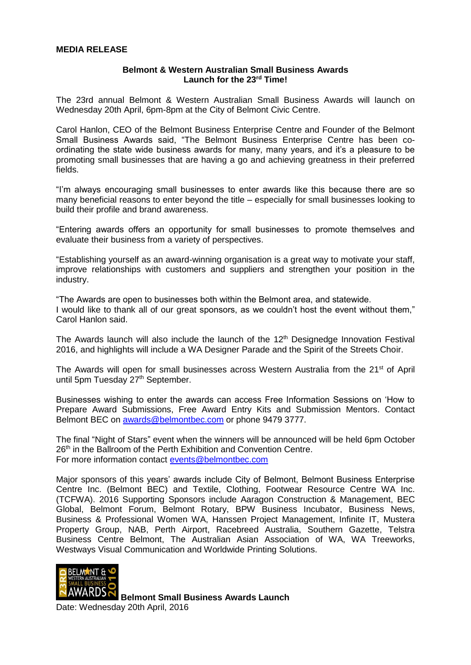## **Belmont & Western Australian Small Business Awards Launch for the 23rd Time!**

The 23rd annual Belmont & Western Australian Small Business Awards will launch on Wednesday 20th April, 6pm-8pm at the City of Belmont Civic Centre.

Carol Hanlon, CEO of the Belmont Business Enterprise Centre and Founder of the Belmont Small Business Awards said, "The Belmont Business Enterprise Centre has been coordinating the state wide business awards for many, many years, and it's a pleasure to be promoting small businesses that are having a go and achieving greatness in their preferred fields.

"I'm always encouraging small businesses to enter awards like this because there are so many beneficial reasons to enter beyond the title – especially for small businesses looking to build their profile and brand awareness.

"Entering awards offers an opportunity for small businesses to promote themselves and evaluate their business from a variety of perspectives.

"Establishing yourself as an award-winning organisation is a great way to motivate your staff, improve relationships with customers and suppliers and strengthen your position in the industry.

"The Awards are open to businesses both within the Belmont area, and statewide. I would like to thank all of our great sponsors, as we couldn't host the event without them," Carol Hanlon said.

The Awards launch will also include the launch of the  $12<sup>th</sup>$  Designedge Innovation Festival 2016, and highlights will include a WA Designer Parade and the Spirit of the Streets Choir.

The Awards will open for small businesses across Western Australia from the 21<sup>st</sup> of April until 5pm Tuesday 27<sup>th</sup> September.

Businesses wishing to enter the awards can access Free Information Sessions on 'How to Prepare Award Submissions, Free Award Entry Kits and Submission Mentors. Contact Belmont BEC on [awards@belmontbec.com](mailto:awards@belmontbec.com) or phone 9479 3777.

The final "Night of Stars" event when the winners will be announced will be held 6pm October 26<sup>th</sup> in the Ballroom of the Perth Exhibition and Convention Centre. For more information contact [events@belmontbec.com](mailto:events@belmontbec.com)

Major sponsors of this years' awards include City of Belmont, Belmont Business Enterprise Centre Inc. (Belmont BEC) and Textile, Clothing, Footwear Resource Centre WA Inc. (TCFWA). 2016 Supporting Sponsors include Aaragon Construction & Management, BEC Global, Belmont Forum, Belmont Rotary, BPW Business Incubator, Business News, Business & Professional Women WA, Hanssen Project Management, Infinite IT, Mustera Property Group, NAB, Perth Airport, Racebreed Australia, Southern Gazette, Telstra Business Centre Belmont, The Australian Asian Association of WA, WA Treeworks, Westways Visual Communication and Worldwide Printing Solutions.



**Belmont Small Business Awards Launch**

Date: Wednesday 20th April, 2016